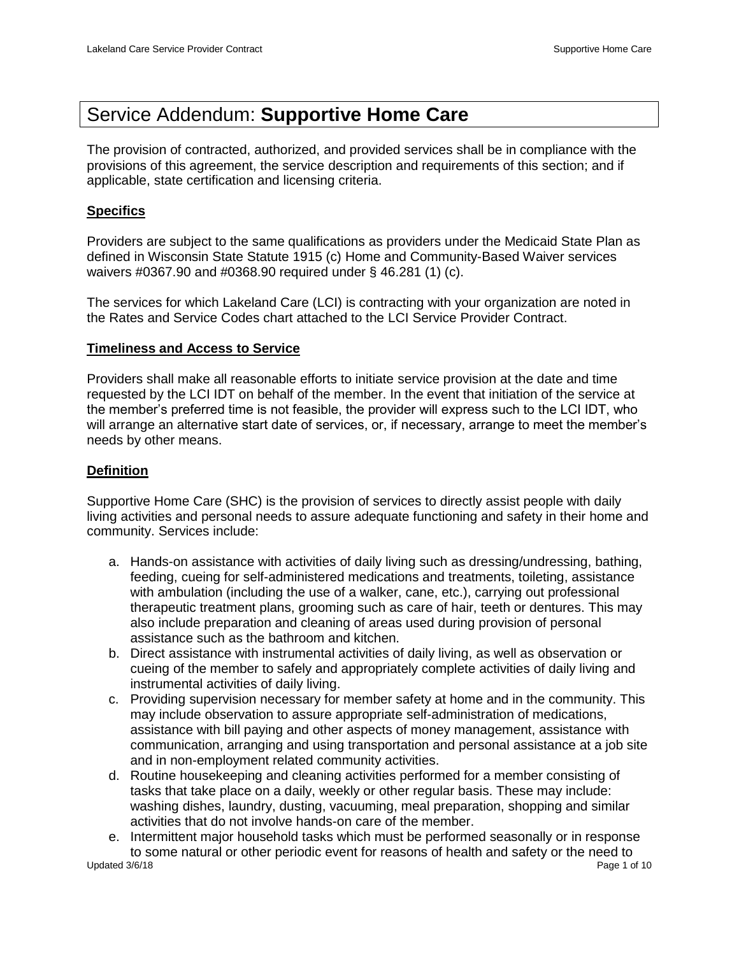# Service Addendum: **Supportive Home Care**

The provision of contracted, authorized, and provided services shall be in compliance with the provisions of this agreement, the service description and requirements of this section; and if applicable, state certification and licensing criteria.

# **Specifics**

Providers are subject to the same qualifications as providers under the Medicaid State Plan as defined in Wisconsin State Statute 1915 (c) Home and Community-Based Waiver services waivers #0367.90 and #0368.90 required under § 46.281 (1) (c).

The services for which Lakeland Care (LCI) is contracting with your organization are noted in the Rates and Service Codes chart attached to the LCI Service Provider Contract.

# **Timeliness and Access to Service**

Providers shall make all reasonable efforts to initiate service provision at the date and time requested by the LCI IDT on behalf of the member. In the event that initiation of the service at the member's preferred time is not feasible, the provider will express such to the LCI IDT, who will arrange an alternative start date of services, or, if necessary, arrange to meet the member's needs by other means.

# **Definition**

Supportive Home Care (SHC) is the provision of services to directly assist people with daily living activities and personal needs to assure adequate functioning and safety in their home and community. Services include:

- a. Hands-on assistance with activities of daily living such as dressing/undressing, bathing, feeding, cueing for self-administered medications and treatments, toileting, assistance with ambulation (including the use of a walker, cane, etc.), carrying out professional therapeutic treatment plans, grooming such as care of hair, teeth or dentures. This may also include preparation and cleaning of areas used during provision of personal assistance such as the bathroom and kitchen.
- b. Direct assistance with instrumental activities of daily living, as well as observation or cueing of the member to safely and appropriately complete activities of daily living and instrumental activities of daily living.
- c. Providing supervision necessary for member safety at home and in the community. This may include observation to assure appropriate self-administration of medications, assistance with bill paying and other aspects of money management, assistance with communication, arranging and using transportation and personal assistance at a job site and in non-employment related community activities.
- d. Routine housekeeping and cleaning activities performed for a member consisting of tasks that take place on a daily, weekly or other regular basis. These may include: washing dishes, laundry, dusting, vacuuming, meal preparation, shopping and similar activities that do not involve hands-on care of the member.
- Updated 3/6/18 Page 1 of 10 e. Intermittent major household tasks which must be performed seasonally or in response to some natural or other periodic event for reasons of health and safety or the need to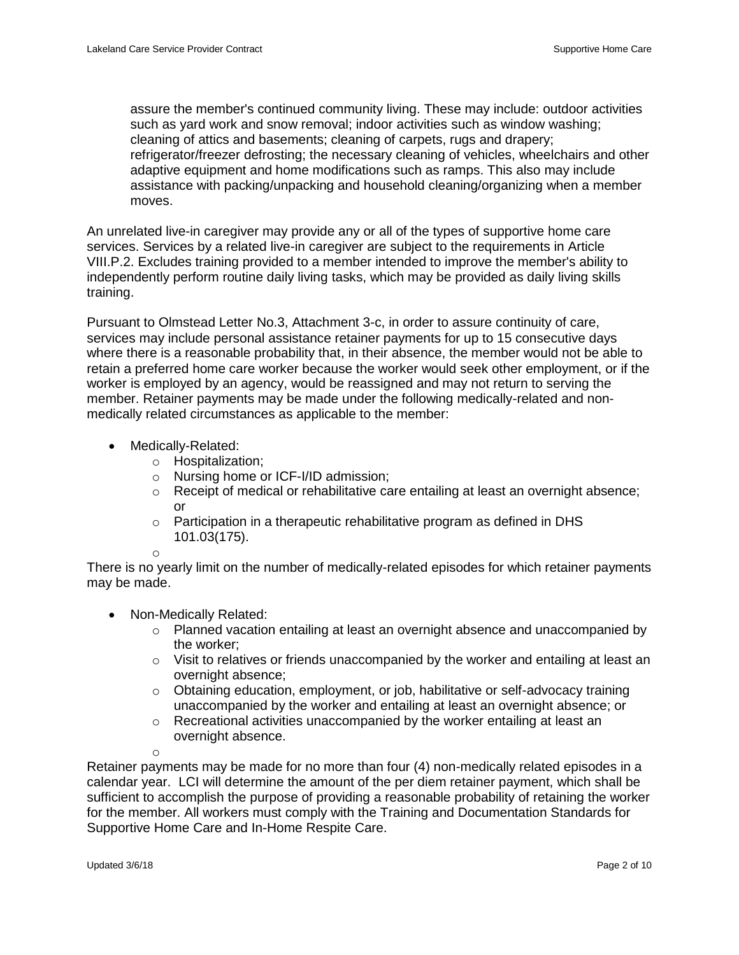assure the member's continued community living. These may include: outdoor activities such as yard work and snow removal; indoor activities such as window washing; cleaning of attics and basements; cleaning of carpets, rugs and drapery; refrigerator/freezer defrosting; the necessary cleaning of vehicles, wheelchairs and other adaptive equipment and home modifications such as ramps. This also may include assistance with packing/unpacking and household cleaning/organizing when a member moves.

An unrelated live-in caregiver may provide any or all of the types of supportive home care services. Services by a related live-in caregiver are subject to the requirements in Article VIII.P.2. Excludes training provided to a member intended to improve the member's ability to independently perform routine daily living tasks, which may be provided as daily living skills training.

Pursuant to Olmstead Letter No.3, Attachment 3-c, in order to assure continuity of care, services may include personal assistance retainer payments for up to 15 consecutive days where there is a reasonable probability that, in their absence, the member would not be able to retain a preferred home care worker because the worker would seek other employment, or if the worker is employed by an agency, would be reassigned and may not return to serving the member. Retainer payments may be made under the following medically-related and nonmedically related circumstances as applicable to the member:

- Medically-Related:
	- o Hospitalization;
	- o Nursing home or ICF-I/ID admission;
	- o Receipt of medical or rehabilitative care entailing at least an overnight absence; or
	- $\circ$  Participation in a therapeutic rehabilitative program as defined in DHS 101.03(175).

o

There is no yearly limit on the number of medically-related episodes for which retainer payments may be made.

- Non-Medically Related:
	- $\circ$  Planned vacation entailing at least an overnight absence and unaccompanied by the worker;
	- $\circ$  Visit to relatives or friends unaccompanied by the worker and entailing at least an overnight absence;
	- o Obtaining education, employment, or job, habilitative or self-advocacy training unaccompanied by the worker and entailing at least an overnight absence; or
	- o Recreational activities unaccompanied by the worker entailing at least an overnight absence.

o

Retainer payments may be made for no more than four (4) non-medically related episodes in a calendar year. LCI will determine the amount of the per diem retainer payment, which shall be sufficient to accomplish the purpose of providing a reasonable probability of retaining the worker for the member. All workers must comply with the Training and Documentation Standards for Supportive Home Care and In-Home Respite Care.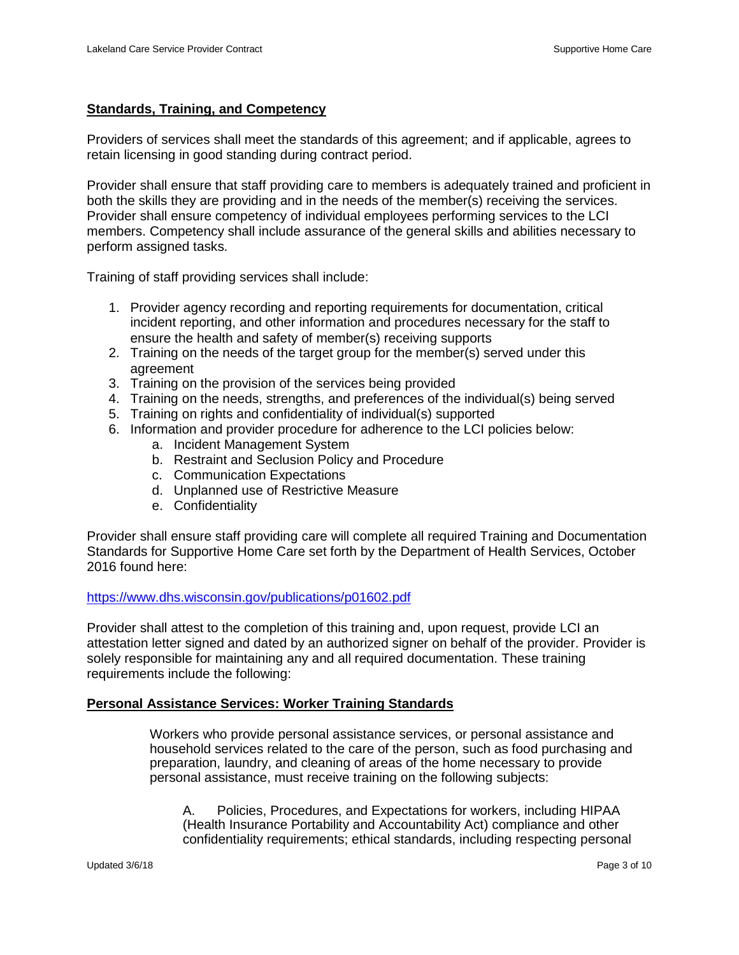## **Standards, Training, and Competency**

Providers of services shall meet the standards of this agreement; and if applicable, agrees to retain licensing in good standing during contract period.

Provider shall ensure that staff providing care to members is adequately trained and proficient in both the skills they are providing and in the needs of the member(s) receiving the services. Provider shall ensure competency of individual employees performing services to the LCI members. Competency shall include assurance of the general skills and abilities necessary to perform assigned tasks.

Training of staff providing services shall include:

- 1. Provider agency recording and reporting requirements for documentation, critical incident reporting, and other information and procedures necessary for the staff to ensure the health and safety of member(s) receiving supports
- 2. Training on the needs of the target group for the member(s) served under this agreement
- 3. Training on the provision of the services being provided
- 4. Training on the needs, strengths, and preferences of the individual(s) being served
- 5. Training on rights and confidentiality of individual(s) supported
- 6. Information and provider procedure for adherence to the LCI policies below:
	- a. Incident Management System
	- b. Restraint and Seclusion Policy and Procedure
	- c. Communication Expectations
	- d. Unplanned use of Restrictive Measure
	- e. Confidentiality

Provider shall ensure staff providing care will complete all required Training and Documentation Standards for Supportive Home Care set forth by the Department of Health Services, October 2016 found here:

#### <https://www.dhs.wisconsin.gov/publications/p01602.pdf>

Provider shall attest to the completion of this training and, upon request, provide LCI an attestation letter signed and dated by an authorized signer on behalf of the provider. Provider is solely responsible for maintaining any and all required documentation. These training requirements include the following:

#### **Personal Assistance Services: Worker Training Standards**

Workers who provide personal assistance services, or personal assistance and household services related to the care of the person, such as food purchasing and preparation, laundry, and cleaning of areas of the home necessary to provide personal assistance, must receive training on the following subjects:

A. Policies, Procedures, and Expectations for workers, including HIPAA (Health Insurance Portability and Accountability Act) compliance and other confidentiality requirements; ethical standards, including respecting personal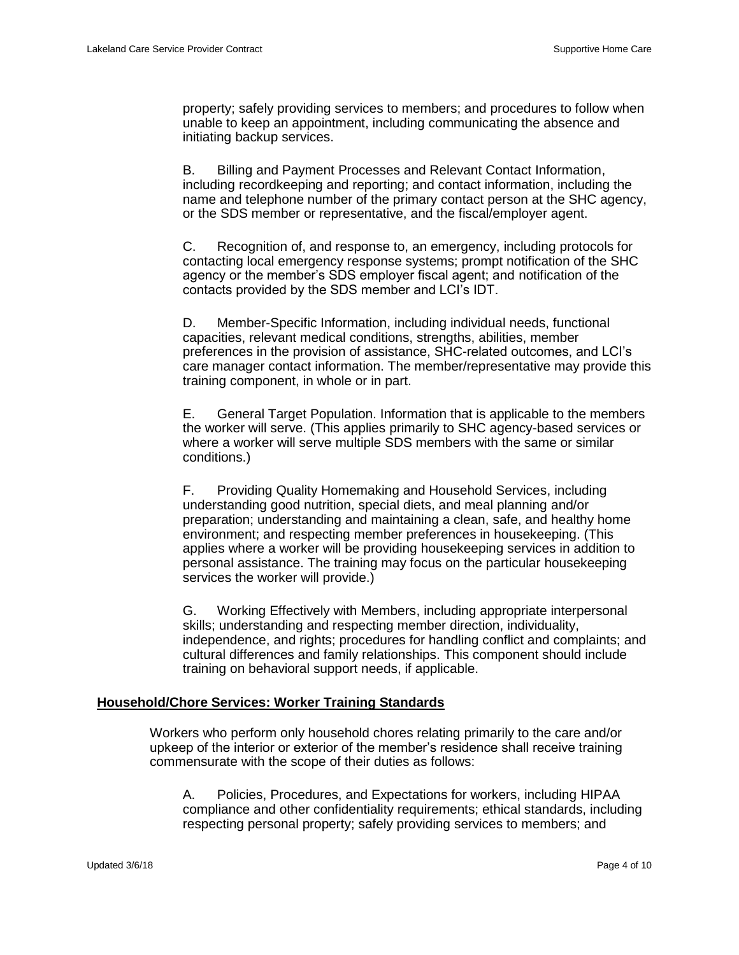property; safely providing services to members; and procedures to follow when unable to keep an appointment, including communicating the absence and initiating backup services.

B. Billing and Payment Processes and Relevant Contact Information, including recordkeeping and reporting; and contact information, including the name and telephone number of the primary contact person at the SHC agency, or the SDS member or representative, and the fiscal/employer agent.

C. Recognition of, and response to, an emergency, including protocols for contacting local emergency response systems; prompt notification of the SHC agency or the member's SDS employer fiscal agent; and notification of the contacts provided by the SDS member and LCI's IDT.

D. Member-Specific Information, including individual needs, functional capacities, relevant medical conditions, strengths, abilities, member preferences in the provision of assistance, SHC-related outcomes, and LCI's care manager contact information. The member/representative may provide this training component, in whole or in part.

E. General Target Population. Information that is applicable to the members the worker will serve. (This applies primarily to SHC agency-based services or where a worker will serve multiple SDS members with the same or similar conditions.)

F. Providing Quality Homemaking and Household Services, including understanding good nutrition, special diets, and meal planning and/or preparation; understanding and maintaining a clean, safe, and healthy home environment; and respecting member preferences in housekeeping. (This applies where a worker will be providing housekeeping services in addition to personal assistance. The training may focus on the particular housekeeping services the worker will provide.)

G. Working Effectively with Members, including appropriate interpersonal skills; understanding and respecting member direction, individuality, independence, and rights; procedures for handling conflict and complaints; and cultural differences and family relationships. This component should include training on behavioral support needs, if applicable.

#### **Household/Chore Services: Worker Training Standards**

Workers who perform only household chores relating primarily to the care and/or upkeep of the interior or exterior of the member's residence shall receive training commensurate with the scope of their duties as follows:

A. Policies, Procedures, and Expectations for workers, including HIPAA compliance and other confidentiality requirements; ethical standards, including respecting personal property; safely providing services to members; and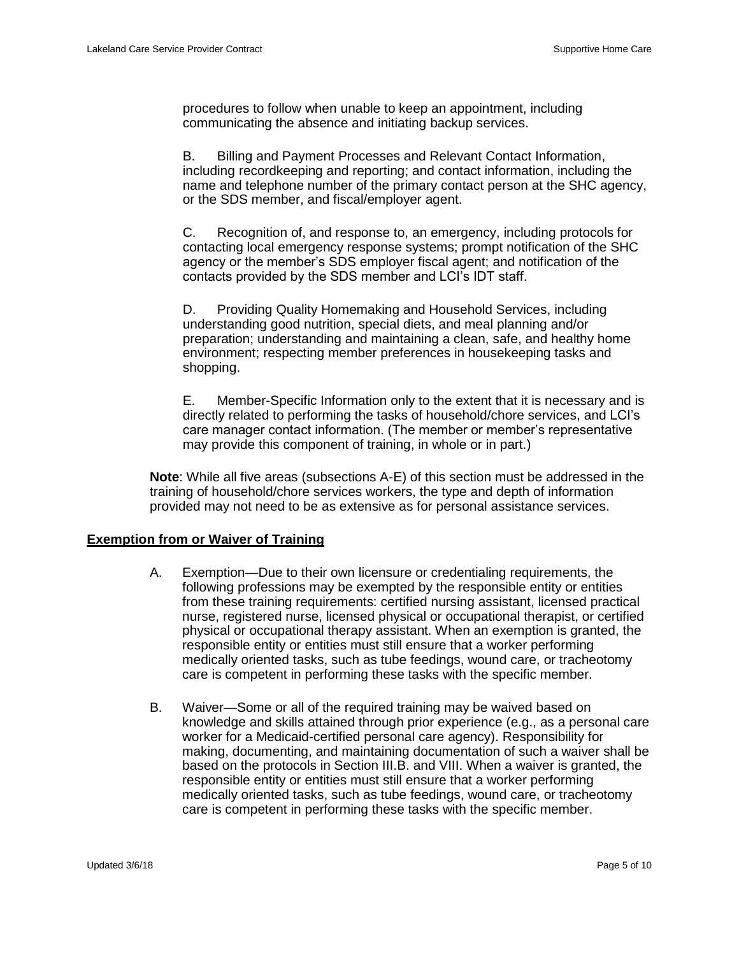procedures to follow when unable to keep an appointment, including communicating the absence and initiating backup services.

B. Billing and Payment Processes and Relevant Contact Information, including recordkeeping and reporting; and contact information, including the name and telephone number of the primary contact person at the SHC agency, or the SDS member, and fiscal/employer agent.

C. Recognition of, and response to, an emergency, including protocols for contacting local emergency response systems; prompt notification of the SHC agency or the member's SDS employer fiscal agent; and notification of the contacts provided by the SDS member and LCI's IDT staff.

D. Providing Quality Homemaking and Household Services, including understanding good nutrition, special diets, and meal planning and/or preparation; understanding and maintaining a clean, safe, and healthy home environment; respecting member preferences in housekeeping tasks and shopping.

E. Member-Specific Information only to the extent that it is necessary and is directly related to performing the tasks of household/chore services, and LCI's care manager contact information. (The member or member's representative may provide this component of training, in whole or in part.)

**Note**: While all five areas (subsections A-E) of this section must be addressed in the training of household/chore services workers, the type and depth of information provided may not need to be as extensive as for personal assistance services.

#### **Exemption from or Waiver of Training**

- A. Exemption—Due to their own licensure or credentialing requirements, the following professions may be exempted by the responsible entity or entities from these training requirements: certified nursing assistant, licensed practical nurse, registered nurse, licensed physical or occupational therapist, or certified physical or occupational therapy assistant. When an exemption is granted, the responsible entity or entities must still ensure that a worker performing medically oriented tasks, such as tube feedings, wound care, or tracheotomy care is competent in performing these tasks with the specific member.
- B. Waiver—Some or all of the required training may be waived based on knowledge and skills attained through prior experience (e.g., as a personal care worker for a Medicaid-certified personal care agency). Responsibility for making, documenting, and maintaining documentation of such a waiver shall be based on the protocols in Section III.B. and VIII. When a waiver is granted, the responsible entity or entities must still ensure that a worker performing medically oriented tasks, such as tube feedings, wound care, or tracheotomy care is competent in performing these tasks with the specific member.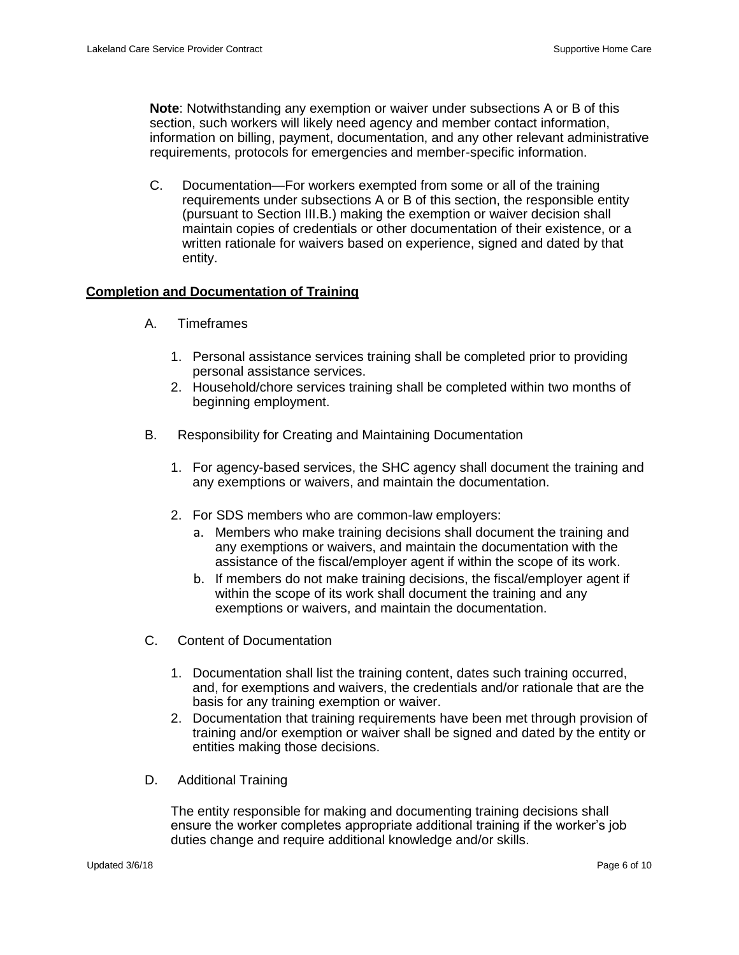**Note**: Notwithstanding any exemption or waiver under subsections A or B of this section, such workers will likely need agency and member contact information, information on billing, payment, documentation, and any other relevant administrative requirements, protocols for emergencies and member-specific information.

C. Documentation—For workers exempted from some or all of the training requirements under subsections A or B of this section, the responsible entity (pursuant to Section III.B.) making the exemption or waiver decision shall maintain copies of credentials or other documentation of their existence, or a written rationale for waivers based on experience, signed and dated by that entity.

## **Completion and Documentation of Training**

- A. Timeframes
	- 1. Personal assistance services training shall be completed prior to providing personal assistance services.
	- 2. Household/chore services training shall be completed within two months of beginning employment.
- B. Responsibility for Creating and Maintaining Documentation
	- 1. For agency-based services, the SHC agency shall document the training and any exemptions or waivers, and maintain the documentation.
	- 2. For SDS members who are common-law employers:
		- a. Members who make training decisions shall document the training and any exemptions or waivers, and maintain the documentation with the assistance of the fiscal/employer agent if within the scope of its work.
		- b. If members do not make training decisions, the fiscal/employer agent if within the scope of its work shall document the training and any exemptions or waivers, and maintain the documentation.
- C. Content of Documentation
	- 1. Documentation shall list the training content, dates such training occurred, and, for exemptions and waivers, the credentials and/or rationale that are the basis for any training exemption or waiver.
	- 2. Documentation that training requirements have been met through provision of training and/or exemption or waiver shall be signed and dated by the entity or entities making those decisions.
- D. Additional Training

The entity responsible for making and documenting training decisions shall ensure the worker completes appropriate additional training if the worker's job duties change and require additional knowledge and/or skills.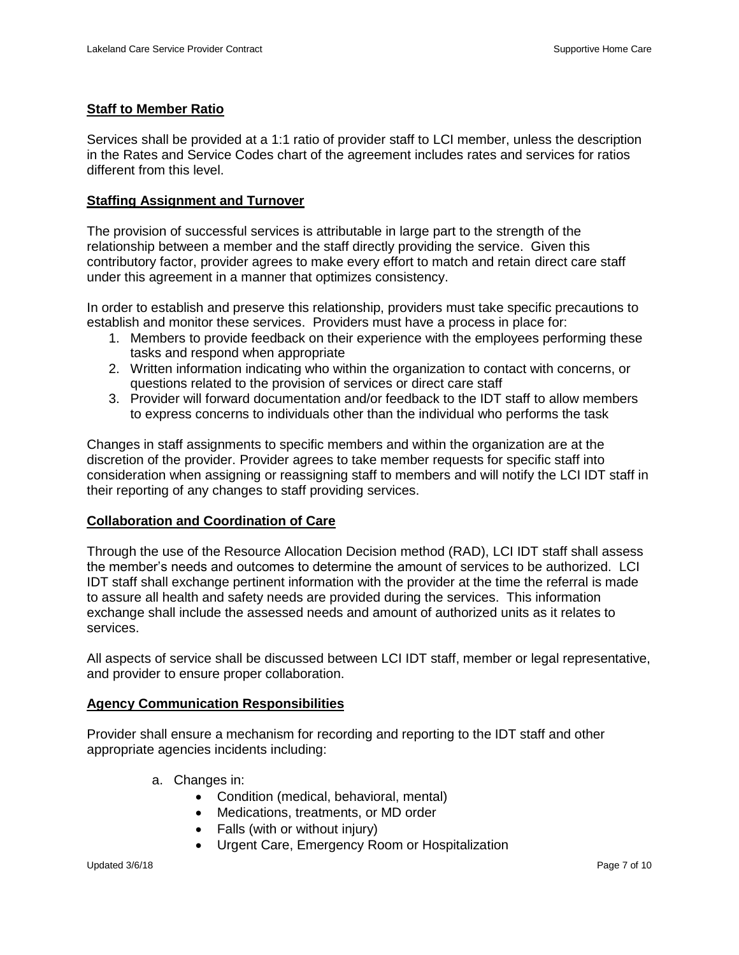## **Staff to Member Ratio**

Services shall be provided at a 1:1 ratio of provider staff to LCI member, unless the description in the Rates and Service Codes chart of the agreement includes rates and services for ratios different from this level.

## **Staffing Assignment and Turnover**

The provision of successful services is attributable in large part to the strength of the relationship between a member and the staff directly providing the service. Given this contributory factor, provider agrees to make every effort to match and retain direct care staff under this agreement in a manner that optimizes consistency.

In order to establish and preserve this relationship, providers must take specific precautions to establish and monitor these services. Providers must have a process in place for:

- 1. Members to provide feedback on their experience with the employees performing these tasks and respond when appropriate
- 2. Written information indicating who within the organization to contact with concerns, or questions related to the provision of services or direct care staff
- 3. Provider will forward documentation and/or feedback to the IDT staff to allow members to express concerns to individuals other than the individual who performs the task

Changes in staff assignments to specific members and within the organization are at the discretion of the provider. Provider agrees to take member requests for specific staff into consideration when assigning or reassigning staff to members and will notify the LCI IDT staff in their reporting of any changes to staff providing services.

### **Collaboration and Coordination of Care**

Through the use of the Resource Allocation Decision method (RAD), LCI IDT staff shall assess the member's needs and outcomes to determine the amount of services to be authorized. LCI IDT staff shall exchange pertinent information with the provider at the time the referral is made to assure all health and safety needs are provided during the services. This information exchange shall include the assessed needs and amount of authorized units as it relates to services.

All aspects of service shall be discussed between LCI IDT staff, member or legal representative, and provider to ensure proper collaboration.

#### **Agency Communication Responsibilities**

Provider shall ensure a mechanism for recording and reporting to the IDT staff and other appropriate agencies incidents including:

- a. Changes in:
	- Condition (medical, behavioral, mental)
	- Medications, treatments, or MD order
	- Falls (with or without injury)
	- Urgent Care, Emergency Room or Hospitalization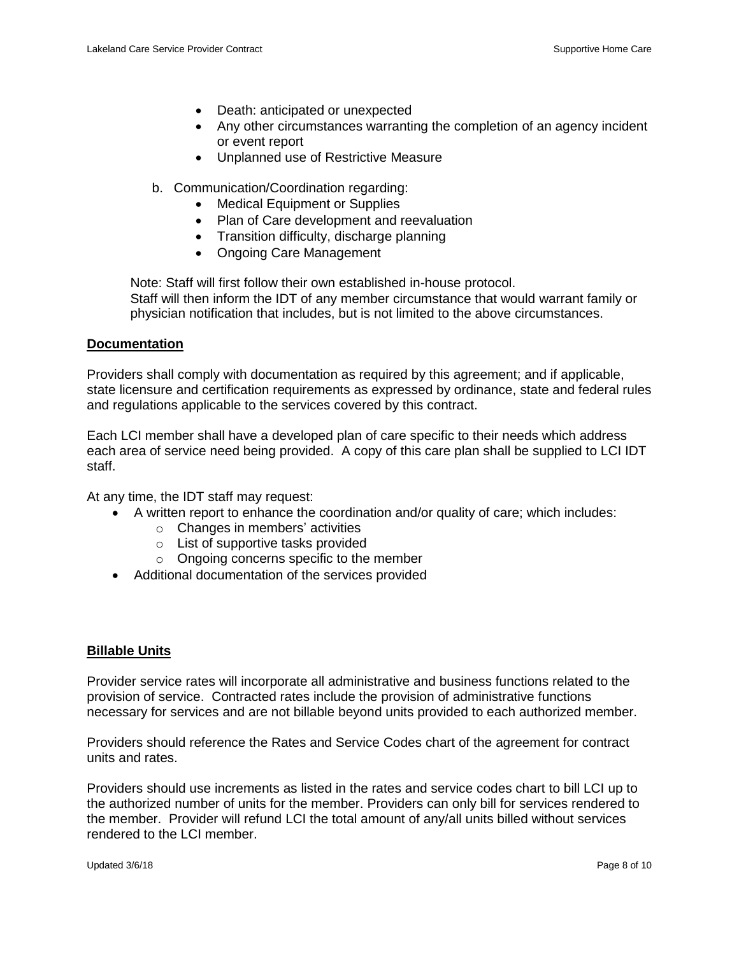- Death: anticipated or unexpected
- Any other circumstances warranting the completion of an agency incident or event report
- Unplanned use of Restrictive Measure
- b. Communication/Coordination regarding:
	- Medical Equipment or Supplies
	- Plan of Care development and reevaluation
	- Transition difficulty, discharge planning
	- Ongoing Care Management

Note: Staff will first follow their own established in-house protocol. Staff will then inform the IDT of any member circumstance that would warrant family or physician notification that includes, but is not limited to the above circumstances.

## **Documentation**

Providers shall comply with documentation as required by this agreement; and if applicable, state licensure and certification requirements as expressed by ordinance, state and federal rules and regulations applicable to the services covered by this contract.

Each LCI member shall have a developed plan of care specific to their needs which address each area of service need being provided. A copy of this care plan shall be supplied to LCI IDT staff.

At any time, the IDT staff may request:

- A written report to enhance the coordination and/or quality of care; which includes:
	- o Changes in members' activities
	- o List of supportive tasks provided
	- o Ongoing concerns specific to the member
- Additional documentation of the services provided

## **Billable Units**

Provider service rates will incorporate all administrative and business functions related to the provision of service. Contracted rates include the provision of administrative functions necessary for services and are not billable beyond units provided to each authorized member.

Providers should reference the Rates and Service Codes chart of the agreement for contract units and rates.

Providers should use increments as listed in the rates and service codes chart to bill LCI up to the authorized number of units for the member. Providers can only bill for services rendered to the member. Provider will refund LCI the total amount of any/all units billed without services rendered to the LCI member.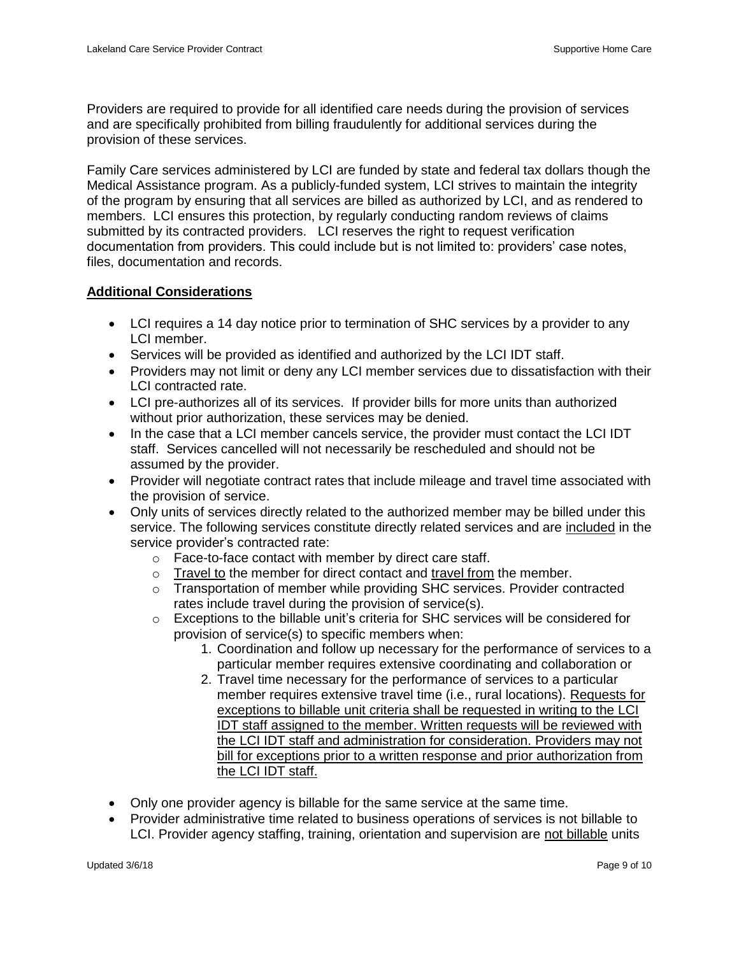Providers are required to provide for all identified care needs during the provision of services and are specifically prohibited from billing fraudulently for additional services during the provision of these services.

Family Care services administered by LCI are funded by state and federal tax dollars though the Medical Assistance program. As a publicly-funded system, LCI strives to maintain the integrity of the program by ensuring that all services are billed as authorized by LCI, and as rendered to members. LCI ensures this protection, by regularly conducting random reviews of claims submitted by its contracted providers. LCI reserves the right to request verification documentation from providers. This could include but is not limited to: providers' case notes, files, documentation and records.

# **Additional Considerations**

- LCI requires a 14 day notice prior to termination of SHC services by a provider to any LCI member.
- Services will be provided as identified and authorized by the LCI IDT staff.
- Providers may not limit or deny any LCI member services due to dissatisfaction with their LCI contracted rate.
- LCI pre-authorizes all of its services. If provider bills for more units than authorized without prior authorization, these services may be denied.
- In the case that a LCI member cancels service, the provider must contact the LCI IDT staff. Services cancelled will not necessarily be rescheduled and should not be assumed by the provider.
- Provider will negotiate contract rates that include mileage and travel time associated with the provision of service.
- Only units of services directly related to the authorized member may be billed under this service. The following services constitute directly related services and are included in the service provider's contracted rate:
	- o Face-to-face contact with member by direct care staff.
	- o Travel to the member for direct contact and travel from the member.
	- $\circ$  Transportation of member while providing SHC services. Provider contracted rates include travel during the provision of service(s).
	- $\circ$  Exceptions to the billable unit's criteria for SHC services will be considered for provision of service(s) to specific members when:
		- 1. Coordination and follow up necessary for the performance of services to a particular member requires extensive coordinating and collaboration or
		- 2. Travel time necessary for the performance of services to a particular member requires extensive travel time (i.e., rural locations). Requests for exceptions to billable unit criteria shall be requested in writing to the LCI IDT staff assigned to the member. Written requests will be reviewed with the LCI IDT staff and administration for consideration. Providers may not bill for exceptions prior to a written response and prior authorization from the LCI IDT staff.
- Only one provider agency is billable for the same service at the same time.
- Provider administrative time related to business operations of services is not billable to LCI. Provider agency staffing, training, orientation and supervision are not billable units